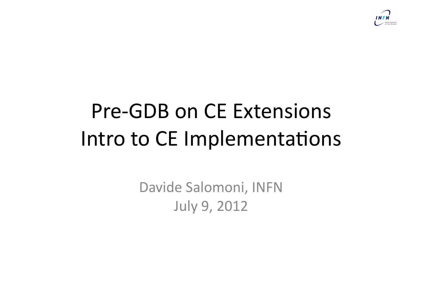

## **Pre-GDB on CE Extensions** Intro to CE Implementations

Davide Salomoni, INFN **July 9, 2012**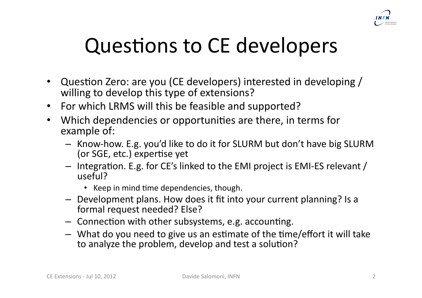

## Questions to CE developers

- Question Zero: are you (CE developers) interested in developing / willing to develop this type of extensions?
- For which LRMS will this be feasible and supported?
- Which dependencies or opportunities are there, in terms for example of:
	- Know-how. E.g. you'd like to do it for SLURM but don't have big SLURM (or SGE, etc.) expertise yet
	- $-$  Integration. E.g. for CE's linked to the EMI project is EMI-ES relevant / useful?
		- Keep in mind time dependencies, though.
	- $-$  Development plans. How does it fit into your current planning? Is a formal request needed? Else?
	- $-$  Connection with other subsystems, e.g. accounting.
	- $-$  What do you need to give us an estimate of the time/effort it will take to analyze the problem, develop and test a solution?